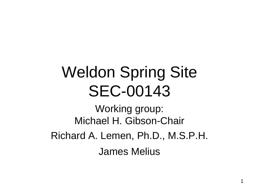## Weldon Spring Site SEC-00143

Working group: Michael H. Gibson-Chair Richard A. Lemen, Ph.D., M.S.P.H. James Melius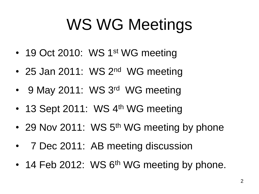# WS WG Meetings

- 19 Oct 2010: WS 1<sup>st</sup> WG meeting
- 25 Jan 2011: WS 2<sup>nd</sup> WG meeting
- 9 May 2011: WS 3rd WG meeting
- 13 Sept 2011: WS 4<sup>th</sup> WG meeting
- 29 Nov 2011: WS 5<sup>th</sup> WG meeting by phone
- 7 Dec 2011: AB meeting discussion
- 14 Feb 2012: WS 6<sup>th</sup> WG meeting by phone.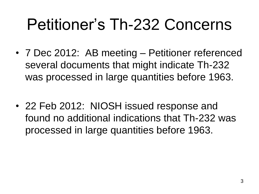## Petitioner's Th-232 Concerns

- 7 Dec 2012: AB meeting Petitioner referenced several documents that might indicate Th-232 was processed in large quantities before 1963.
- 22 Feb 2012: NIOSH issued response and found no additional indications that Th-232 was processed in large quantities before 1963.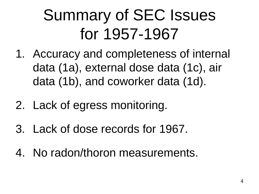## Summary of SEC Issues for 1957-1967

- 1. Accuracy and completeness of internal data (1a), external dose data (1c), air data (1b), and coworker data (1d).
- 2. Lack of egress monitoring.
- 3. Lack of dose records for 1967.
- 4. No radon/thoron measurements.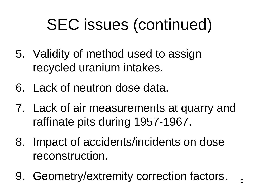## SEC issues (continued)

- 5. Validity of method used to assign recycled uranium intakes.
- 6. Lack of neutron dose data.
- 7. Lack of air measurements at quarry and raffinate pits during 1957-1967.
- 8. Impact of accidents/incidents on dose reconstruction.
- 9. Geometry/extremity correction factors.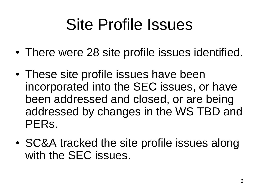## Site Profile Issues

- There were 28 site profile issues identified.
- These site profile issues have been incorporated into the SEC issues, or have been addressed and closed, or are being addressed by changes in the WS TBD and PERs.
- SC&A tracked the site profile issues along with the SEC issues.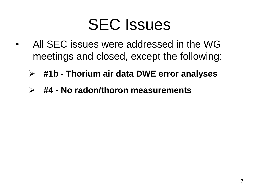### SEC Issues

- All SEC issues were addressed in the WG meetings and closed, except the following:
	- **#1b - Thorium air data DWE error analyses**
	- **#4 - No radon/thoron measurements**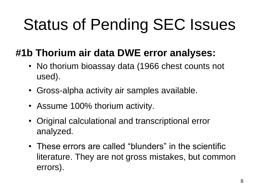# Status of Pending SEC Issues

#### **#1b Thorium air data DWE error analyses:**

- No thorium bioassay data (1966 chest counts not used).
- Gross-alpha activity air samples available.
- Assume 100% thorium activity.
- Original calculational and transcriptional error analyzed.
- These errors are called "blunders" in the scientific literature. They are not gross mistakes, but common errors).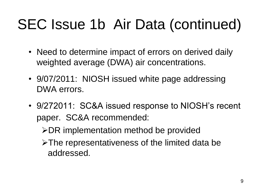### SEC Issue 1b Air Data (continued)

- Need to determine impact of errors on derived daily weighted average (DWA) air concentrations.
- 9/07/2011: NIOSH issued white page addressing DWA errors.
- 9/272011: SC&A issued response to NIOSH's recent paper. SC&A recommended:
	- $\triangleright$  DR implementation method be provided
	- >The representativeness of the limited data be addressed.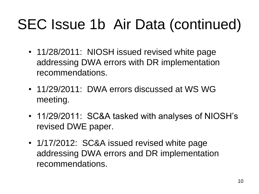### SEC Issue 1b Air Data (continued)

- 11/28/2011: NIOSH issued revised white page addressing DWA errors with DR implementation recommendations.
- 11/29/2011: DWA errors discussed at WS WG meeting.
- 11/29/2011: SC&A tasked with analyses of NIOSH's revised DWE paper.
- 1/17/2012: SC&A issued revised white page addressing DWA errors and DR implementation recommendations.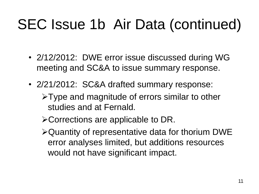### SEC Issue 1b Air Data (continued)

- 2/12/2012: DWE error issue discussed during WG meeting and SC&A to issue summary response.
- 2/21/2012: SC&A drafted summary response:
	- Type and magnitude of errors similar to other studies and at Fernald.
	- Corrections are applicable to DR.
	- Quantity of representative data for thorium DWE error analyses limited, but additions resources would not have significant impact.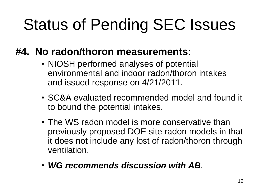# Status of Pending SEC Issues

#### **#4. No radon/thoron measurements:**

- NIOSH performed analyses of potential environmental and indoor radon/thoron intakes and issued response on 4/21/2011.
- SC&A evaluated recommended model and found it to bound the potential intakes.
- The WS radon model is more conservative than previously proposed DOE site radon models in that it does not include any lost of radon/thoron through ventilation.
- *WG recommends discussion with AB*.